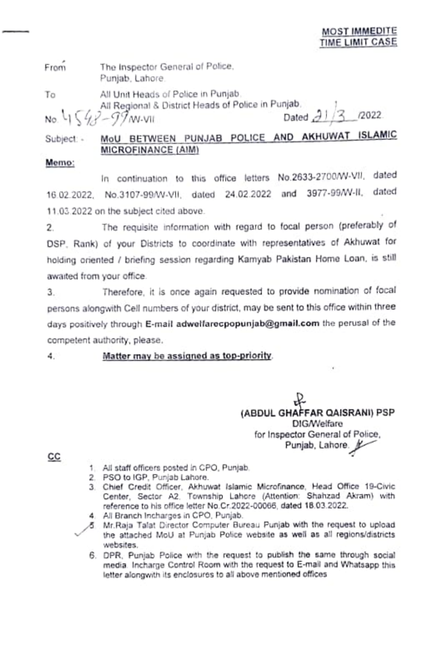The Inspector General of Police, From Punjab, Lahore.

To

All Unit Heads of Police in Punjab. All Regional & District Heads of Police in Punjab. No. 4 $(49 - 99)$  W-VII

/2022 Dated  $\partial$ 

## MoU BETWEEN PUNJAB POLICE AND AKHUWAT ISLAMIC Subject: -MICROFINANCE (AIM)

## Memo:

In continuation to this office letters No.2633-2700/W-VII, dated 16.02.2022, No.3107-99/W-VII, dated 24.02.2022 and 3977-99/W-II, dated 11.03.2022 on the subject cited above.

The requisite information with regard to focal person (preferably of  $2.$ DSP, Rank) of your Districts to coordinate with representatives of Akhuwat for holding oriented / briefing session regarding Kamyab Pakistan Home Loan, is still awaited from your office.

Therefore, it is once again requested to provide nomination of focal З. persons alongwith Cell numbers of your district, may be sent to this office within three days positively through E-mail adwelfarecpopunjab@gmail.com the perusal of the competent authority, please.

Matter may be assigned as top-priority. 4.00

> (ABDUL GHAFFAR QAISRANI) PSP **DIG/Welfare** for Inspector General of Police, Punjab, Lahore.

CC

- 1. All staff officers posted in CPO, Punjab.
- 2. PSO to IGP, Punjab Lahore.
- 3. Chief Credit Officer, Akhuwat Islamic Microfinance, Head Office 19-Civic Center, Sector A2. Township Lahore (Attention: Shahzad Akram) with reference to his office letter No.Cr.2022-00066, dated 18.03.2022.
- 4. All Branch Incharges in CPO, Punjab.
- 5 Mr. Raja Talat Director Computer Bureau Punjab with the request to upload the attached MoU at Punjab Police website as well as all regions/districts websites.
	- 6. DPR, Punjab Police with the request to publish the same through social media. Incharge Control Room with the request to E-mail and Whatsapp this letter alongwith its enclosures to all above mentioned offices